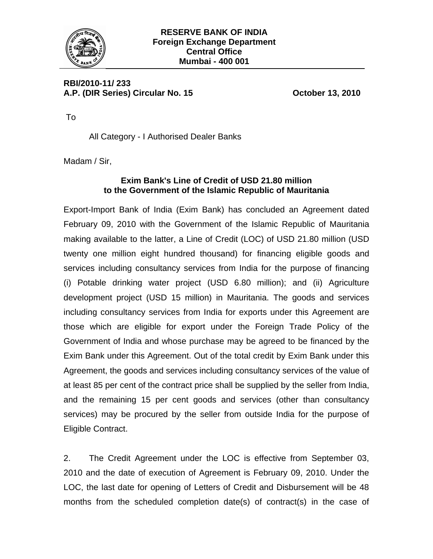

**RBI/2010-11/ 233**  A.P. (DIR Series) Circular No. 15 **Case Contract Contract Contract Contract Contract Contract Contract Contract Contract Contract Contract Contract Contract Contract Contract Contract Contract Contract Contract Contract Co** 

To

All Category - I Authorised Dealer Banks

Madam / Sir,

## **Exim Bank's Line of Credit of USD 21.80 million to the Government of the Islamic Republic of Mauritania**

Export-Import Bank of India (Exim Bank) has concluded an Agreement dated February 09, 2010 with the Government of the Islamic Republic of Mauritania making available to the latter, a Line of Credit (LOC) of USD 21.80 million (USD twenty one million eight hundred thousand) for financing eligible goods and services including consultancy services from India for the purpose of financing (i) Potable drinking water project (USD 6.80 million); and (ii) Agriculture development project (USD 15 million) in Mauritania. The goods and services including consultancy services from India for exports under this Agreement are those which are eligible for export under the Foreign Trade Policy of the Government of India and whose purchase may be agreed to be financed by the Exim Bank under this Agreement. Out of the total credit by Exim Bank under this Agreement, the goods and services including consultancy services of the value of at least 85 per cent of the contract price shall be supplied by the seller from India, and the remaining 15 per cent goods and services (other than consultancy services) may be procured by the seller from outside India for the purpose of Eligible Contract.

2. The Credit Agreement under the LOC is effective from September 03, 2010 and the date of execution of Agreement is February 09, 2010. Under the LOC, the last date for opening of Letters of Credit and Disbursement will be 48 months from the scheduled completion date(s) of contract(s) in the case of